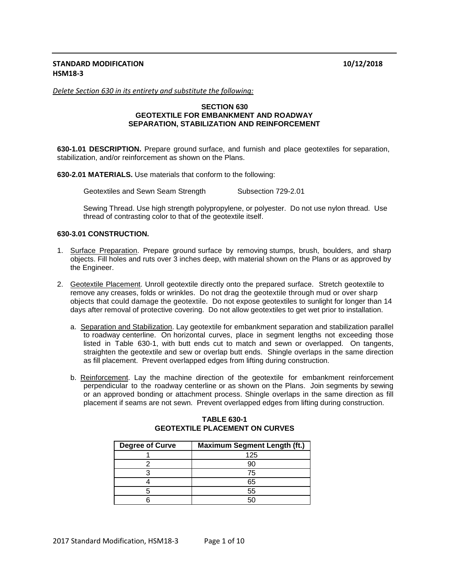# **STANDARD MODIFICATION 10/12/2018 HSM18-3**

*Delete Section 630 in its entirety and substitute the following:*

### **SECTION 630 GEOTEXTILE FOR EMBANKMENT AND ROADWAY SEPARATION, STABILIZATION AND REINFORCEMENT**

**630-1.01 DESCRIPTION.** Prepare ground surface, and furnish and place geotextiles for separation, stabilization, and/or reinforcement as shown on the Plans.

**630-2.01 MATERIALS.** Use materials that conform to the following:

Geotextiles and Sewn Seam Strength Subsection 729-2.01

Sewing Thread. Use high strength polypropylene, or polyester. Do not use nylon thread. Use thread of contrasting color to that of the geotextile itself.

### **630-3.01 CONSTRUCTION.**

- 1. Surface Preparation. Prepare ground surface by removing stumps, brush, boulders, and sharp objects. Fill holes and ruts over 3 inches deep, with material shown on the Plans or as approved by the Engineer.
- 2. Geotextile Placement. Unroll geotextile directly onto the prepared surface. Stretch geotextile to remove any creases, folds or wrinkles. Do not drag the geotextile through mud or over sharp objects that could damage the geotextile. Do not expose geotextiles to sunlight for longer than 14 days after removal of protective covering. Do not allow geotextiles to get wet prior to installation.
	- a. Separation and Stabilization. Lay geotextile for embankment separation and stabilization parallel to roadway centerline. On horizontal curves, place in segment lengths not exceeding those listed in Table 630-1, with butt ends cut to match and sewn or overlapped. On tangents, straighten the geotextile and sew or overlap butt ends. Shingle overlaps in the same direction as fill placement. Prevent overlapped edges from lifting during construction.
	- b. Reinforcement. Lay the machine direction of the geotextile for embankment reinforcement perpendicular to the roadway centerline or as shown on the Plans. Join segments by sewing or an approved bonding or attachment process. Shingle overlaps in the same direction as fill placement if seams are not sewn. Prevent overlapped edges from lifting during construction.

| <b>Degree of Curve</b> | <b>Maximum Segment Length (ft.)</b> |
|------------------------|-------------------------------------|
|                        | 125                                 |
|                        |                                     |
|                        | 75                                  |
|                        | 65                                  |
|                        | 55                                  |
|                        |                                     |

### **TABLE 630-1 GEOTEXTILE PLACEMENT ON CURVES**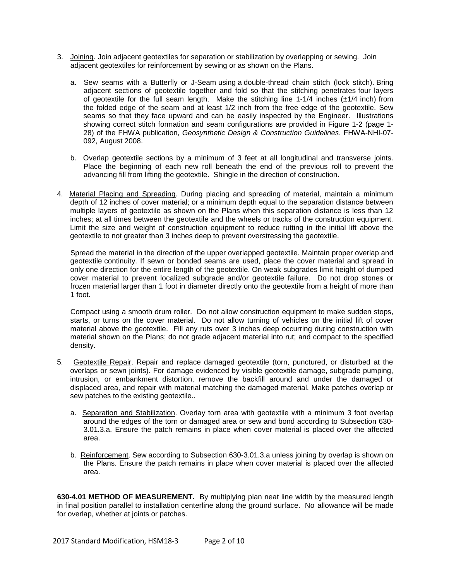- 3. Joining. Join adjacent geotextiles for separation or stabilization by overlapping or sewing. Join adjacent geotextiles for reinforcement by sewing or as shown on the Plans.
	- a. Sew seams with a Butterfly or J-Seam using a double-thread chain stitch (lock stitch). Bring adjacent sections of geotextile together and fold so that the stitching penetrates four layers of geotextile for the full seam length. Make the stitching line 1-1/4 inches  $(\pm 1/4 \text{ inch})$  from the folded edge of the seam and at least 1/2 inch from the free edge of the geotextile. Sew seams so that they face upward and can be easily inspected by the Engineer. Illustrations showing correct stitch formation and seam configurations are provided in Figure 1-2 (page 1- 28) of the FHWA publication, *Geosynthetic Design & Construction Guidelines*, FHWA-NHI-07- 092, August 2008.
	- b. Overlap geotextile sections by a minimum of 3 feet at all longitudinal and transverse joints. Place the beginning of each new roll beneath the end of the previous roll to prevent the advancing fill from lifting the geotextile. Shingle in the direction of construction.
- 4. Material Placing and Spreading. During placing and spreading of material, maintain a minimum depth of 12 inches of cover material; or a minimum depth equal to the separation distance between multiple layers of geotextile as shown on the Plans when this separation distance is less than 12 inches; at all times between the geotextile and the wheels or tracks of the construction equipment. Limit the size and weight of construction equipment to reduce rutting in the initial lift above the geotextile to not greater than 3 inches deep to prevent overstressing the geotextile.

Spread the material in the direction of the upper overlapped geotextile. Maintain proper overlap and geotextile continuity. If sewn or bonded seams are used, place the cover material and spread in only one direction for the entire length of the geotextile. On weak subgrades limit height of dumped cover material to prevent localized subgrade and/or geotextile failure. Do not drop stones or frozen material larger than 1 foot in diameter directly onto the geotextile from a height of more than 1 foot.

Compact using a smooth drum roller. Do not allow construction equipment to make sudden stops, starts, or turns on the cover material. Do not allow turning of vehicles on the initial lift of cover material above the geotextile. Fill any ruts over 3 inches deep occurring during construction with material shown on the Plans; do not grade adjacent material into rut; and compact to the specified density.

- 5. Geotextile Repair. Repair and replace damaged geotextile (torn, punctured, or disturbed at the overlaps or sewn joints). For damage evidenced by visible geotextile damage, subgrade pumping, intrusion, or embankment distortion, remove the backfill around and under the damaged or displaced area, and repair with material matching the damaged material. Make patches overlap or sew patches to the existing geotextile..
	- a. Separation and Stabilization. Overlay torn area with geotextile with a minimum 3 foot overlap around the edges of the torn or damaged area or sew and bond according to Subsection 630- 3.01.3.a. Ensure the patch remains in place when cover material is placed over the affected area.
	- b. Reinforcement. Sew according to Subsection 630-3.01.3.a unless joining by overlap is shown on the Plans. Ensure the patch remains in place when cover material is placed over the affected area.

**630-4.01 METHOD OF MEASUREMENT.** By multiplying plan neat line width by the measured length in final position parallel to installation centerline along the ground surface. No allowance will be made for overlap, whether at joints or patches.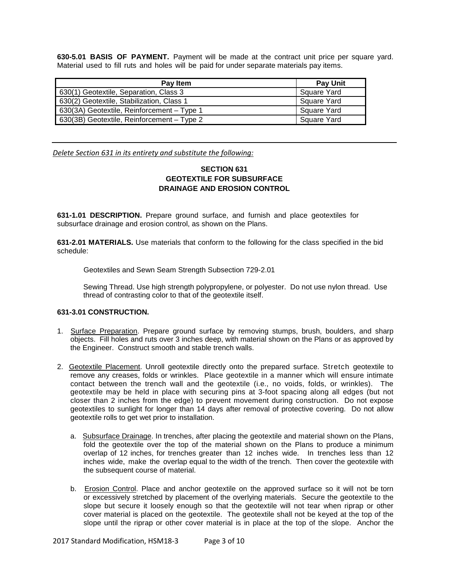**630-5.01 BASIS OF PAYMENT.** Payment will be made at the contract unit price per square yard. Material used to fill ruts and holes will be paid for under separate materials pay items.

| Pay Item                                   | <b>Pay Unit</b> |
|--------------------------------------------|-----------------|
| 630(1) Geotextile, Separation, Class 3     | Square Yard     |
| 630(2) Geotextile, Stabilization, Class 1  | Square Yard     |
| 630(3A) Geotextile, Reinforcement - Type 1 | Square Yard     |
| 630(3B) Geotextile, Reinforcement - Type 2 | Square Yard     |

*Delete Section 631 in its entirety and substitute the following:*

# **SECTION 631 GEOTEXTILE FOR SUBSURFACE DRAINAGE AND EROSION CONTROL**

**631-1.01 DESCRIPTION.** Prepare ground surface, and furnish and place geotextiles for subsurface drainage and erosion control, as shown on the Plans.

**631-2.01 MATERIALS.** Use materials that conform to the following for the class specified in the bid schedule:

Geotextiles and Sewn Seam Strength Subsection 729-2.01

Sewing Thread. Use high strength polypropylene, or polyester. Do not use nylon thread. Use thread of contrasting color to that of the geotextile itself.

### **631-3.01 CONSTRUCTION.**

- 1. Surface Preparation. Prepare ground surface by removing stumps, brush, boulders, and sharp objects. Fill holes and ruts over 3 inches deep, with material shown on the Plans or as approved by the Engineer. Construct smooth and stable trench walls.
- 2. Geotextile Placement. Unroll geotextile directly onto the prepared surface. Stretch geotextile to remove any creases, folds or wrinkles. Place geotextile in a manner which will ensure intimate contact between the trench wall and the geotextile (i.e., no voids, folds, or wrinkles). The geotextile may be held in place with securing pins at 3-foot spacing along all edges (but not closer than 2 inches from the edge) to prevent movement during construction. Do not expose geotextiles to sunlight for longer than 14 days after removal of protective covering. Do not allow geotextile rolls to get wet prior to installation.
	- a. Subsurface Drainage. In trenches, after placing the geotextile and material shown on the Plans, fold the geotextile over the top of the material shown on the Plans to produce a minimum overlap of 12 inches, for trenches greater than 12 inches wide. In trenches less than 12 inches wide, make the overlap equal to the width of the trench. Then cover the geotextile with the subsequent course of material.
	- b. Erosion Control. Place and anchor geotextile on the approved surface so it will not be torn or excessively stretched by placement of the overlying materials. Secure the geotextile to the slope but secure it loosely enough so that the geotextile will not tear when riprap or other cover material is placed on the geotextile. The geotextile shall not be keyed at the top of the slope until the riprap or other cover material is in place at the top of the slope. Anchor the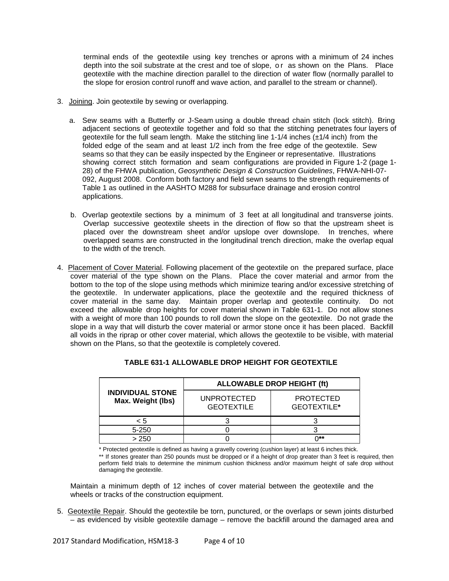terminal ends of the geotextile using key trenches or aprons with a minimum of 24 inches depth into the soil substrate at the crest and toe of slope, or as shown on the Plans. Place geotextile with the machine direction parallel to the direction of water flow (normally parallel to the slope for erosion control runoff and wave action, and parallel to the stream or channel).

- 3. Joining. Join geotextile by sewing or overlapping.
	- a. Sew seams with a Butterfly or J-Seam using a double thread chain stitch (lock stitch). Bring adjacent sections of geotextile together and fold so that the stitching penetrates four layers of geotextile for the full seam length. Make the stitching line  $1-1/4$  inches  $(\pm 1/4$  inch) from the folded edge of the seam and at least 1/2 inch from the free edge of the geotextile. Sew seams so that they can be easily inspected by the Engineer or representative. Illustrations showing correct stitch formation and seam configurations are provided in Figure 1-2 (page 1- 28) of the FHWA publication, *Geosynthetic Design & Construction Guidelines*, FHWA-NHI-07- 092, August 2008. Conform both factory and field sewn seams to the strength requirements of Table 1 as outlined in the AASHTO M288 for subsurface drainage and erosion control applications.
	- b. Overlap geotextile sections by a minimum of 3 feet at all longitudinal and transverse joints. Overlap successive geotextile sheets in the direction of flow so that the upstream sheet is placed over the downstream sheet and/or upslope over downslope. In trenches, where overlapped seams are constructed in the longitudinal trench direction, make the overlap equal to the width of the trench.
- 4. Placement of Cover Material. Following placement of the geotextile on the prepared surface, place cover material of the type shown on the Plans. Place the cover material and armor from the bottom to the top of the slope using methods which minimize tearing and/or excessive stretching of the geotextile. In underwater applications, place the geotextile and the required thickness of cover material in the same day. Maintain proper overlap and geotextile continuity. Do not exceed the allowable drop heights for cover material shown in Table 631-1. Do not allow stones with a weight of more than 100 pounds to roll down the slope on the geotextile. Do not grade the slope in a way that will disturb the cover material or armor stone once it has been placed. Backfill all voids in the riprap or other cover material, which allows the geotextile to be visible, with material shown on the Plans, so that the geotextile is completely covered.

|                                              | <b>ALLOWABLE DROP HEIGHT (ft)</b>       |                                 |  |
|----------------------------------------------|-----------------------------------------|---------------------------------|--|
| <b>INDIVIDUAL STONE</b><br>Max. Weight (lbs) | <b>UNPROTECTED</b><br><b>GEOTEXTILE</b> | <b>PROTECTED</b><br>GEOTEXTILE* |  |
| < 5                                          |                                         |                                 |  |
| 5-250                                        |                                         |                                 |  |
| > 250                                        |                                         | ∩**                             |  |

\* Protected geotextile is defined as having a gravelly covering (cushion layer) at least 6 inches thick.

\*\* If stones greater than 250 pounds must be dropped or if a height of drop greater than 3 feet is required, then perform field trials to determine the minimum cushion thickness and/or maximum height of safe drop without damaging the geotextile.

Maintain a minimum depth of 12 inches of cover material between the geotextile and the wheels or tracks of the construction equipment.

5. Geotextile Repair. Should the geotextile be torn, punctured, or the overlaps or sewn joints disturbed – as evidenced by visible geotextile damage – remove the backfill around the damaged area and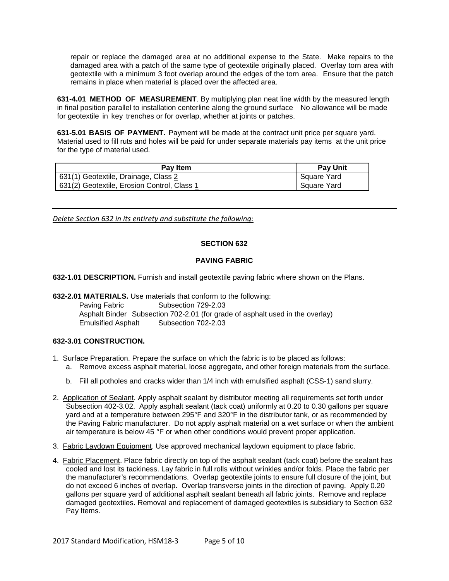repair or replace the damaged area at no additional expense to the State. Make repairs to the damaged area with a patch of the same type of geotextile originally placed. Overlay torn area with geotextile with a minimum 3 foot overlap around the edges of the torn area. Ensure that the patch remains in place when material is placed over the affected area.

**631-4.01 METHOD OF MEASUREMENT**. By multiplying plan neat line width by the measured length in final position parallel to installation centerline along the ground surface No allowance will be made for geotextile in key trenches or for overlap, whether at joints or patches.

**631-5.01 BASIS OF PAYMENT.** Payment will be made at the contract unit price per square yard. Material used to fill ruts and holes will be paid for under separate materials pay items at the unit price for the type of material used.

| Pay Item                                    | <b>Pay Unit</b>          |
|---------------------------------------------|--------------------------|
| 631(1) Geotextile, Drainage, Class 2        | <sup>1</sup> Square Yard |
| 631(2) Geotextile, Erosion Control, Class 1 | Square Yard              |

*Delete Section 632 in its entirety and substitute the following:*

# **SECTION 632**

### **PAVING FABRIC**

**632-1.01 DESCRIPTION.** Furnish and install geotextile paving fabric where shown on the Plans.

**632-2.01 MATERIALS.** Use materials that conform to the following:

Paving Fabric **Subsection 729-2.03** Asphalt Binder Subsection 702-2.01 (for grade of asphalt used in the overlay) Emulsified Asphalt Subsection 702-2.03

### **632-3.01 CONSTRUCTION.**

- 1. Surface Preparation. Prepare the surface on which the fabric is to be placed as follows:
	- a. Remove excess asphalt material, loose aggregate, and other foreign materials from the surface.
	- b. Fill all potholes and cracks wider than 1/4 inch with emulsified asphalt (CSS-1) sand slurry.
- 2. Application of Sealant. Apply asphalt sealant by distributor meeting all requirements set forth under Subsection 402-3.02. Apply asphalt sealant (tack coat) uniformly at 0.20 to 0.30 gallons per square yard and at a temperature between 295°F and 320°F in the distributor tank, or as recommended by the Paving Fabric manufacturer. Do not apply asphalt material on a wet surface or when the ambient air temperature is below 45 °F or when other conditions would prevent proper application.
- 3. Fabric Laydown Equipment. Use approved mechanical laydown equipment to place fabric.
- 4. Fabric Placement. Place fabric directly on top of the asphalt sealant (tack coat) before the sealant has cooled and lost its tackiness. Lay fabric in full rolls without wrinkles and/or folds. Place the fabric per the manufacturer's recommendations. Overlap geotextile joints to ensure full closure of the joint, but do not exceed 6 inches of overlap. Overlap transverse joints in the direction of paving. Apply 0.20 gallons per square yard of additional asphalt sealant beneath all fabric joints. Remove and replace damaged geotextiles. Removal and replacement of damaged geotextiles is subsidiary to Section 632 Pay Items.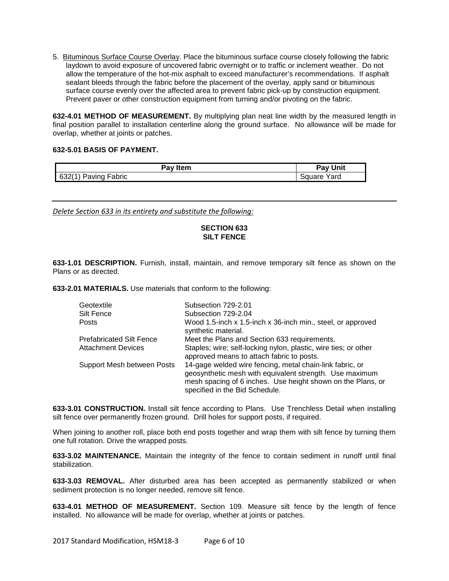5. Bituminous Surface Course Overlay. Place the bituminous surface course closely following the fabric laydown to avoid exposure of uncovered fabric overnight or to traffic or inclement weather. Do not allow the temperature of the hot-mix asphalt to exceed manufacturer's recommendations. If asphalt sealant bleeds through the fabric before the placement of the overlay, apply sand or bituminous surface course evenly over the affected area to prevent fabric pick-up by construction equipment. Prevent paver or other construction equipment from turning and/or pivoting on the fabric.

**632-4.01 METHOD OF MEASUREMENT.** By multiplying plan neat line width by the measured length in final position parallel to installation centerline along the ground surface. No allowance will be made for overlap, whether at joints or patches.

### **632-5.01 BASIS OF PAYMENT.**

| Pay Item      | Unit<br>$Pay \, \Omega$ |
|---------------|-------------------------|
| 632(          | Yard                    |
| Paving Fabric | Square                  |

*Delete Section 633 in its entirety and substitute the following:*

# **SECTION 633 SILT FENCE**

**633-1.01 DESCRIPTION.** Furnish, install, maintain, and remove temporary silt fence as shown on the Plans or as directed.

**633-2.01 MATERIALS.** Use materials that conform to the following:

| Geotextile                      | Subsection 729-2.01                                                                                                                                                                                                  |  |  |
|---------------------------------|----------------------------------------------------------------------------------------------------------------------------------------------------------------------------------------------------------------------|--|--|
| Silt Fence                      | Subsection 729-2.04                                                                                                                                                                                                  |  |  |
| Posts                           | Wood 1.5-inch x 1.5-inch x 36-inch min., steel, or approved<br>synthetic material.                                                                                                                                   |  |  |
| <b>Prefabricated Silt Fence</b> | Meet the Plans and Section 633 requirements.                                                                                                                                                                         |  |  |
| <b>Attachment Devices</b>       | Staples; wire; self-locking nylon, plastic, wire ties; or other<br>approved means to attach fabric to posts.                                                                                                         |  |  |
| Support Mesh between Posts      | 14-gage welded wire fencing, metal chain-link fabric, or<br>geosynthetic mesh with equivalent strength. Use maximum<br>mesh spacing of 6 inches. Use height shown on the Plans, or<br>specified in the Bid Schedule. |  |  |

**633-3.01 CONSTRUCTION.** Install silt fence according to Plans. Use Trenchless Detail when installing silt fence over permanently frozen ground. Drill holes for support posts, if required.

When joining to another roll, place both end posts together and wrap them with silt fence by turning them one full rotation. Drive the wrapped posts.

**633-3.02 MAINTENANCE.** Maintain the integrity of the fence to contain sediment in runoff until final stabilization.

**633-3.03 REMOVAL.** After disturbed area has been accepted as permanently stabilized or when sediment protection is no longer needed, remove silt fence.

**633-4.01 METHOD OF MEASUREMENT.** Section 109. Measure silt fence by the length of fence installed. No allowance will be made for overlap, whether at joints or patches.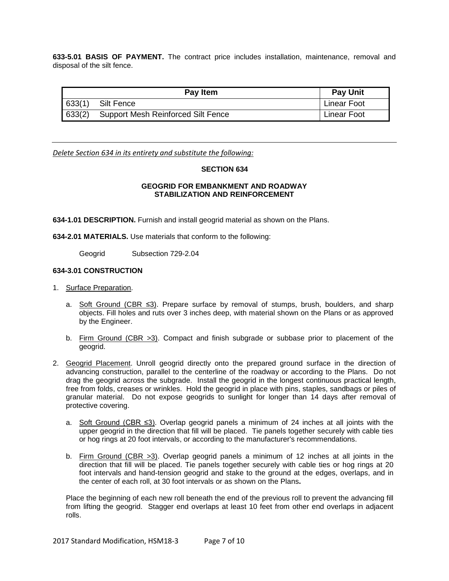**633-5.01 BASIS OF PAYMENT.** The contract price includes installation, maintenance, removal and disposal of the silt fence.

| <b>Pay Item</b> |                                           | <b>Pay Unit</b>    |
|-----------------|-------------------------------------------|--------------------|
| 633(1)          | Silt Fence                                | <b>Linear Foot</b> |
| 633(2)          | <b>Support Mesh Reinforced Silt Fence</b> | Linear Foot        |

*Delete Section 634 in its entirety and substitute the following:*

### **SECTION 634**

## **GEOGRID FOR EMBANKMENT AND ROADWAY STABILIZATION AND REINFORCEMENT**

**634-1.01 DESCRIPTION.** Furnish and install geogrid material as shown on the Plans.

**634-2.01 MATERIALS.** Use materials that conform to the following:

Geogrid Subsection 729-2.04

### **634-3.01 CONSTRUCTION**

- 1. Surface Preparation.
	- a. Soft Ground (CBR ≤3). Prepare surface by removal of stumps, brush, boulders, and sharp objects. Fill holes and ruts over 3 inches deep, with material shown on the Plans or as approved by the Engineer.
	- b. Firm Ground (CBR >3). Compact and finish subgrade or subbase prior to placement of the geogrid.
- 2. Geogrid Placement. Unroll geogrid directly onto the prepared ground surface in the direction of advancing construction, parallel to the centerline of the roadway or according to the Plans. Do not drag the geogrid across the subgrade. Install the geogrid in the longest continuous practical length, free from folds, creases or wrinkles. Hold the geogrid in place with pins, staples, sandbags or piles of granular material. Do not expose geogrids to sunlight for longer than 14 days after removal of protective covering.
	- a. Soft Ground (CBR ≤3). Overlap geogrid panels a minimum of 24 inches at all joints with the upper geogrid in the direction that fill will be placed. Tie panels together securely with cable ties or hog rings at 20 foot intervals, or according to the manufacturer's recommendations.
	- b. Firm Ground (CBR >3). Overlap geogrid panels a minimum of 12 inches at all joints in the direction that fill will be placed. Tie panels together securely with cable ties or hog rings at 20 foot intervals and hand-tension geogrid and stake to the ground at the edges, overlaps, and in the center of each roll, at 30 foot intervals or as shown on the Plans**.**

Place the beginning of each new roll beneath the end of the previous roll to prevent the advancing fill from lifting the geogrid. Stagger end overlaps at least 10 feet from other end overlaps in adjacent rolls.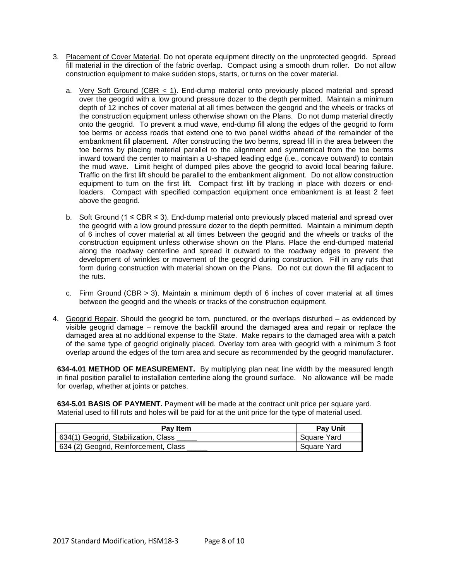- 3. Placement of Cover Material. Do not operate equipment directly on the unprotected geogrid. Spread fill material in the direction of the fabric overlap. Compact using a smooth drum roller. Do not allow construction equipment to make sudden stops, starts, or turns on the cover material.
	- a. Very Soft Ground (CBR  $<$  1). End-dump material onto previously placed material and spread over the geogrid with a low ground pressure dozer to the depth permitted. Maintain a minimum depth of 12 inches of cover material at all times between the geogrid and the wheels or tracks of the construction equipment unless otherwise shown on the Plans. Do not dump material directly onto the geogrid. To prevent a mud wave, end-dump fill along the edges of the geogrid to form toe berms or access roads that extend one to two panel widths ahead of the remainder of the embankment fill placement. After constructing the two berms, spread fill in the area between the toe berms by placing material parallel to the alignment and symmetrical from the toe berms inward toward the center to maintain a U-shaped leading edge (i.e., concave outward) to contain the mud wave. Limit height of dumped piles above the geogrid to avoid local bearing failure. Traffic on the first lift should be parallel to the embankment alignment. Do not allow construction equipment to turn on the first lift. Compact first lift by tracking in place with dozers or endloaders. Compact with specified compaction equipment once embankment is at least 2 feet above the geogrid.
	- b. Soft Ground ( $1 \leq CBR \leq 3$ ). End-dump material onto previously placed material and spread over the geogrid with a low ground pressure dozer to the depth permitted. Maintain a minimum depth of 6 inches of cover material at all times between the geogrid and the wheels or tracks of the construction equipment unless otherwise shown on the Plans. Place the end-dumped material along the roadway centerline and spread it outward to the roadway edges to prevent the development of wrinkles or movement of the geogrid during construction. Fill in any ruts that form during construction with material shown on the Plans. Do not cut down the fill adjacent to the ruts.
	- c. Firm Ground (CBR > 3). Maintain a minimum depth of 6 inches of cover material at all times between the geogrid and the wheels or tracks of the construction equipment.
- 4. Geogrid Repair. Should the geogrid be torn, punctured, or the overlaps disturbed as evidenced by visible geogrid damage – remove the backfill around the damaged area and repair or replace the damaged area at no additional expense to the State. Make repairs to the damaged area with a patch of the same type of geogrid originally placed. Overlay torn area with geogrid with a minimum 3 foot overlap around the edges of the torn area and secure as recommended by the geogrid manufacturer.

**634-4.01 METHOD OF MEASUREMENT.** By multiplying plan neat line width by the measured length in final position parallel to installation centerline along the ground surface. No allowance will be made for overlap, whether at joints or patches.

**634-5.01 BASIS OF PAYMENT.** Payment will be made at the contract unit price per square yard. Material used to fill ruts and holes will be paid for at the unit price for the type of material used.

| Pay Item                              | <b>Pay Unit</b> |
|---------------------------------------|-----------------|
| 634(1) Geogrid, Stabilization, Class  | Square Yard     |
| 634 (2) Geogrid, Reinforcement, Class | Square Yard     |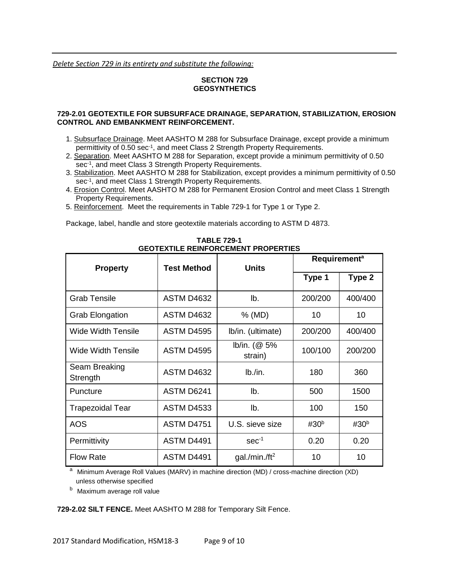*Delete Section 729 in its entirety and substitute the following:*

# **SECTION 729 GEOSYNTHETICS**

### **729-2.01 GEOTEXTILE FOR SUBSURFACE DRAINAGE, SEPARATION, STABILIZATION, EROSION CONTROL AND EMBANKMENT REINFORCEMENT.**

- 1. Subsurface Drainage. Meet AASHTO M 288 for Subsurface Drainage, except provide a minimum permittivity of 0.50 sec<sup>-1</sup>, and meet Class 2 Strength Property Requirements.
- 2. Separation. Meet AASHTO M 288 for Separation, except provide a minimum permittivity of 0.50 sec<sup>-1</sup>, and meet Class 3 Strength Property Requirements.
- 3. Stabilization. Meet AASHTO M 288 for Stabilization, except provides a minimum permittivity of 0.50 sec<sup>-1</sup>, and meet Class 1 Strength Property Requirements.
- 4. Erosion Control. Meet AASHTO M 288 for Permanent Erosion Control and meet Class 1 Strength Property Requirements.
- 5. Reinforcement. Meet the requirements in Table 729-1 for Type 1 or Type 2.

Package, label, handle and store geotextile materials according to ASTM D 4873.

|                           | <b>Test Method</b> | <b>Units</b>               | <b>Requirement<sup>a</sup></b> |                  |
|---------------------------|--------------------|----------------------------|--------------------------------|------------------|
| <b>Property</b>           |                    |                            | Type 1                         | Type 2           |
| Grab Tensile              | <b>ASTM D4632</b>  | lb.                        | 200/200                        | 400/400          |
| <b>Grab Elongation</b>    | ASTM D4632         | % (MD)                     | 10                             | 10               |
| Wide Width Tensile        | ASTM D4595         | Ib/in. (ultimate)          | 200/200                        | 400/400          |
| Wide Width Tensile        | <b>ASTM D4595</b>  | lb/in. $(@ 5\%$<br>strain) | 100/100                        | 200/200          |
| Seam Breaking<br>Strength | <b>ASTM D4632</b>  | lb./in.                    | 180                            | 360              |
| Puncture                  | ASTM D6241         | lb.                        | 500                            | 1500             |
| <b>Trapezoidal Tear</b>   | <b>ASTM D4533</b>  | lb.                        | 100                            | 150              |
| <b>AOS</b>                | <b>ASTM D4751</b>  | U.S. sieve size            | #30 $b$                        | #30 <sup>b</sup> |
| Permittivity              | ASTM D4491         | $sec-1$                    | 0.20                           | 0.20             |
| <b>Flow Rate</b>          | <b>ASTM D4491</b>  | gal./min./ft <sup>2</sup>  | 10                             | 10               |

**TABLE 729-1 GEOTEXTILE REINFORCEMENT PROPERTIES**

<sup>a</sup> Minimum Average Roll Values (MARV) in machine direction (MD) / cross-machine direction (XD) unless otherwise specified

<sup>b</sup> Maximum average roll value

**729-2.02 SILT FENCE.** Meet AASHTO M 288 for Temporary Silt Fence.